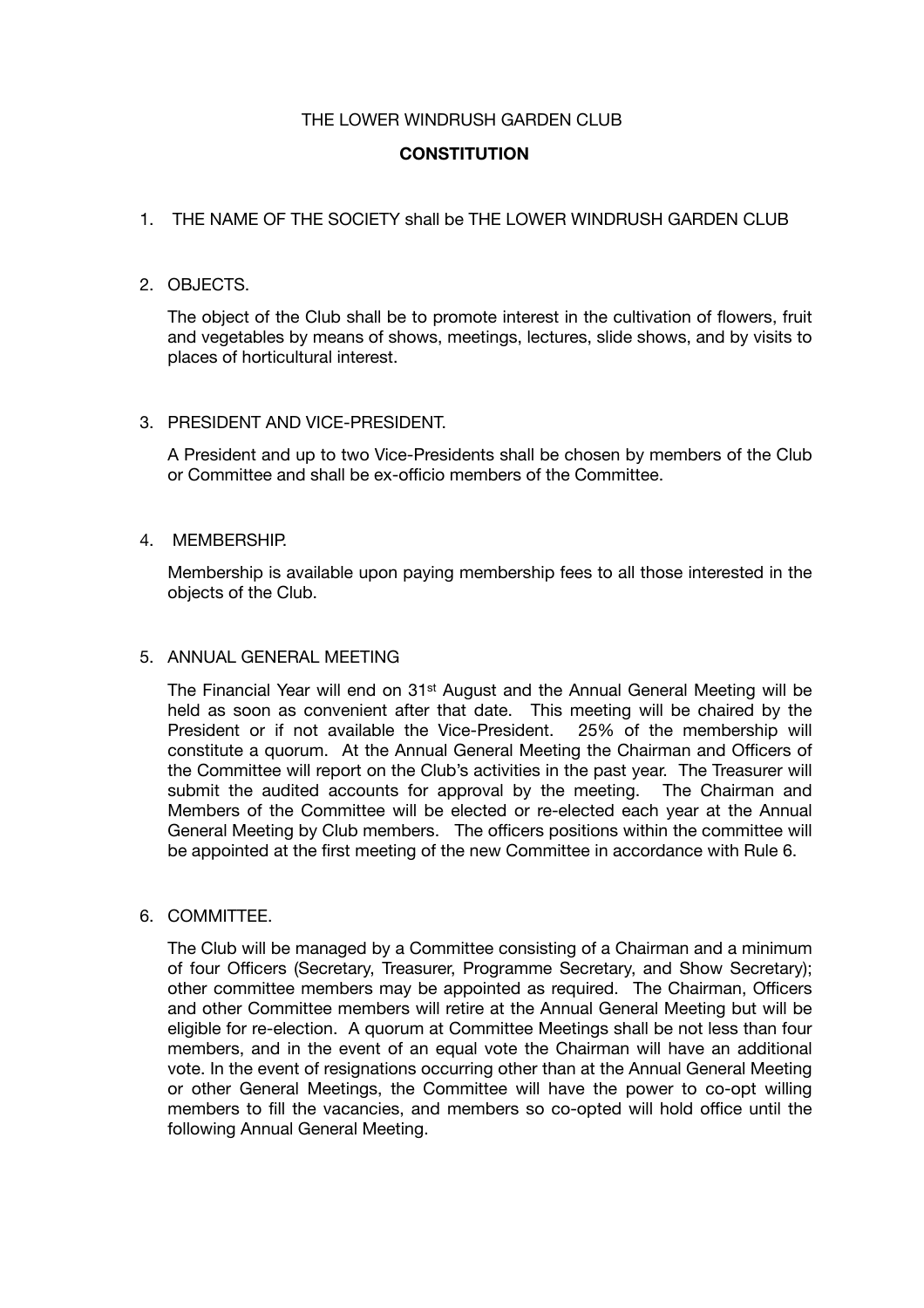# THE LOWER WINDRUSH GARDEN CLUB

# **CONSTITUTION**

# 1. THE NAME OF THE SOCIETY shall be THE LOWER WINDRUSH GARDEN CLUB

### 2. OBJECTS.

The object of the Club shall be to promote interest in the cultivation of flowers, fruit and vegetables by means of shows, meetings, lectures, slide shows, and by visits to places of horticultural interest.

# 3. PRESIDENT AND VICE-PRESIDENT.

A President and up to two Vice-Presidents shall be chosen by members of the Club or Committee and shall be ex-officio members of the Committee.

### 4. MEMBERSHIP.

Membership is available upon paying membership fees to all those interested in the objects of the Club.

#### 5. ANNUAL GENERAL MEETING

The Financial Year will end on 31st August and the Annual General Meeting will be held as soon as convenient after that date. This meeting will be chaired by the President or if not available the Vice-President. 25% of the membership will constitute a quorum. At the Annual General Meeting the Chairman and Officers of the Committee will report on the Club's activities in the past year. The Treasurer will submit the audited accounts for approval by the meeting. The Chairman and Members of the Committee will be elected or re-elected each year at the Annual General Meeting by Club members. The officers positions within the committee will be appointed at the first meeting of the new Committee in accordance with Rule 6.

6. COMMITTEE.

The Club will be managed by a Committee consisting of a Chairman and a minimum of four Officers (Secretary, Treasurer, Programme Secretary, and Show Secretary); other committee members may be appointed as required. The Chairman, Officers and other Committee members will retire at the Annual General Meeting but will be eligible for re-election. A quorum at Committee Meetings shall be not less than four members, and in the event of an equal vote the Chairman will have an additional vote. In the event of resignations occurring other than at the Annual General Meeting or other General Meetings, the Committee will have the power to co-opt willing members to fill the vacancies, and members so co-opted will hold office until the following Annual General Meeting.